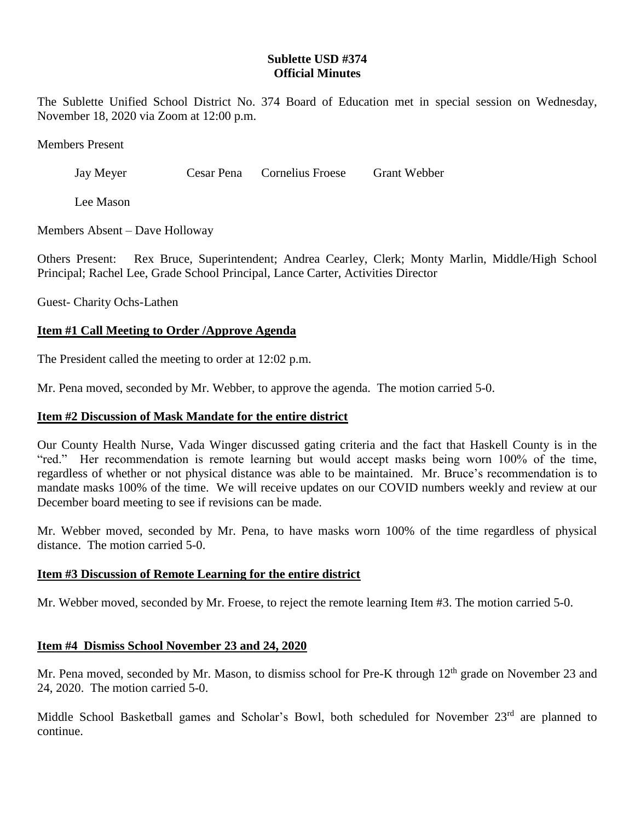# **Sublette USD #374 Official Minutes**

The Sublette Unified School District No. 374 Board of Education met in special session on Wednesday, November 18, 2020 via Zoom at 12:00 p.m.

Members Present

Jay Meyer Cesar Pena Cornelius Froese Grant Webber

Lee Mason

Members Absent – Dave Holloway

Others Present: Rex Bruce, Superintendent; Andrea Cearley, Clerk; Monty Marlin, Middle/High School Principal; Rachel Lee, Grade School Principal, Lance Carter, Activities Director

Guest- Charity Ochs-Lathen

### **Item #1 Call Meeting to Order /Approve Agenda**

The President called the meeting to order at 12:02 p.m.

Mr. Pena moved, seconded by Mr. Webber, to approve the agenda. The motion carried 5-0.

### **Item #2 Discussion of Mask Mandate for the entire district**

Our County Health Nurse, Vada Winger discussed gating criteria and the fact that Haskell County is in the "red." Her recommendation is remote learning but would accept masks being worn 100% of the time, regardless of whether or not physical distance was able to be maintained. Mr. Bruce's recommendation is to mandate masks 100% of the time. We will receive updates on our COVID numbers weekly and review at our December board meeting to see if revisions can be made.

Mr. Webber moved, seconded by Mr. Pena, to have masks worn 100% of the time regardless of physical distance. The motion carried 5-0.

#### **Item #3 Discussion of Remote Learning for the entire district**

Mr. Webber moved, seconded by Mr. Froese, to reject the remote learning Item #3. The motion carried 5-0.

#### **Item #4 Dismiss School November 23 and 24, 2020**

Mr. Pena moved, seconded by Mr. Mason, to dismiss school for Pre-K through 12<sup>th</sup> grade on November 23 and 24, 2020. The motion carried 5-0.

Middle School Basketball games and Scholar's Bowl, both scheduled for November 23<sup>rd</sup> are planned to continue.